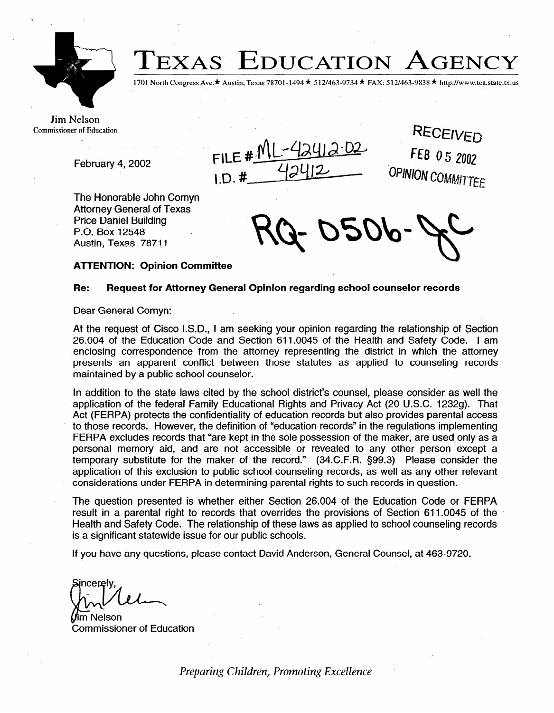

**TEXAS EDUCATION AGENCY** 

1701 North Congress Ave.\* Austin, Texas 78701-1494 \* 512/463-9734 \* FAX: 512/463-9838 \* http://www.tea.state.tx.us

Jim Nelson Commissioner of Education

February 4, 2002

FILE  $\#$ <sup>N</sup>  $1D.$ #

RECEIVED FEB 05 2002 OPINION COMMITTEE

The Honorable John Comyn Attorney General of Texas Price Daniel Building P.O. Box 12548 Austin, Texas 78711

## **ATTENTION: Opinion Committee**

## **Re: Request for Attorney General Opinion regarding school counselor records**

Dear General Cornyn:

At the request of Cisco I.S.D., I am seeking your opinion regarding the relationship of Section 26.004 of the Education Code and Section 611.0045 of the Health and Safety Code. I am enclosing correspondence from the attorney representing the district in which the attorney presents an apparent conflict between those statutes as applied to counseling records maintained by a public school counselor.

In addition to the state laws cited by the school district's counsel, please consider as well the application of the federal Family Educational Rights and Privacy Act (20 U.S.C. 12329). That Act (FERPA) protects the confidentiality of education records but also provides parental access to those records. However, the definition of "education records" in the regulations implementing FERPA excludes records that "are kept in the sole possession of the maker, are used only as a personal memory aid, and are not accessible or revealed to any other person except a temporary substitute for the maker of the record." (34.C.F.R. \$99.3) Please consider the application of this exclusion to public school counseling records, as well as any other relevant considerations under FERPA in determining parental rights to such records in question.

The question presented is whether either Section 26.004 of the Education Code or FERPA result in a parental right to records that overrides the provisions of Section 611.0045 of the Health and Safety Code. The relationship of these laws as applied to school counseling records is a significant statewide issue for our public schools.

If you have any questions, please contact David Anderson, General Counsel, at 463-9720.

**ncereiv** 

m Nelson Commissioner of Education

*Preparing Children, Promoting Excellence*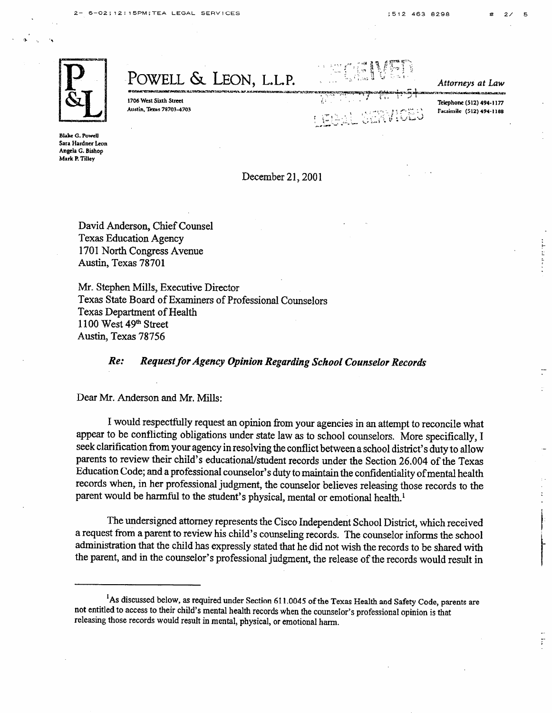Attorneys at Law

Telephone (512) 494-1177

Facsimile (512) 494-1188

.- ;



POWELL & LEON, L.L.P.

1706 West Sixth Street Austin, Texas 78703-4703

**Blake G. Powell Sara Hardner Leon Angela G. Bishop Mark P. ?illey** 

December 21, 2001

David Anderson, Chief Counsel Texas Education Agency 1701 North Congress Avenue Austin, Texas 78701

Mr. Stephen Mills, Executive Director Texas State Board of Examiners of Professional Counselors Texas Department of Health 1100 West 49th Street Austin, Texas 78756

Re: *Request for Agency Opinion Regarding School Counselor Recopdk* 

Dear Mr. Anderson and Mr. Mills:

I would respectfully request an opinion from your agencies in an attempt to reconcile what appear to be conflicting obligations under state law as to school counselors. More specifically, I seek clarification from your agency in resolving the conflict between a school district's duty to allow parents to review their child's educational/student records under the Section 26.004 of the Texas Education Code; and a professiona counselor's duty to maintain the confidentiality of mental health records when, in her professional judgment, the counselor believes releasing those records to the parent would be harmful to the student's physical, mental or emotional health.'

The undersigned attorney represents the Cisco Independent School District, which received a request from a parent to review his child's counseling records. The counselor informs the school administration that the child has expressly stated that he did not wish the records to be shared with the parent, and in the counselor's professional judgment, the release of the records would result in

<sup>&</sup>lt;sup>1</sup>As discussed below, as required under Section 611.0045 of the Texas Health and Safety Code, parents are not entitled to access to their child's mental health records when the counselor's professional opinion is that releasing those records would result in mental, physical, or emotional harm.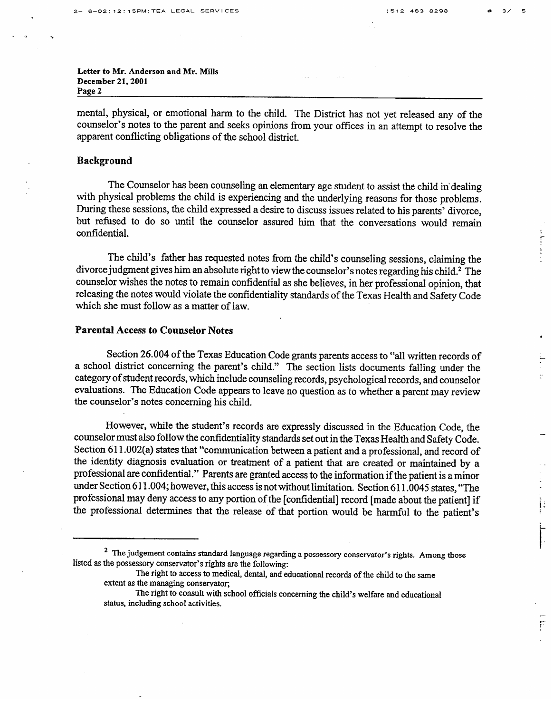# 3/ 5

 $\begin{array}{c} \mathbf{f} \text{ } \mathbf{f} \text{ } \mathbf{f} \text{ } \mathbf{f} \text{ } \mathbf{f} \text{ } \mathbf{f} \text{ } \mathbf{f} \text{ } \mathbf{f} \text{ } \mathbf{f} \text{ } \mathbf{f} \text{ } \mathbf{f} \text{ } \mathbf{f} \text{ } \mathbf{f} \text{ } \mathbf{f} \text{ } \mathbf{f} \text{ } \mathbf{f} \text{ } \mathbf{f} \text{ } \mathbf{f} \text{ } \mathbf{f} \text{ } \mathbf{f} \text{ } \mathbf{f} \text{ } \mathbf$ 

׀ׇׇׇׇ֢֢֢֢֢֞֜֞֬֬֬<br>ׇׇׇׇׇ֧֧֪֧֧֧֧֧֧֧֦֧֧֪֦֦֦֠֩֕֓֬֬֓֬֓֬֓֬֓֬֓֬֓֬֓֬֓֓֬֓֬֓֬֓֬֓֬֓֬֬֬֬֩֩֓֬֬֓֩֓֬֬֓֩֬֓֬֩֓֬֬֬֬֬֬

Ħ

**Letter to Mr. Anderson and Mr. Mills**  December 21, 2001 **Page 2** 

mental, physical, or emotional harm to the child. The District has not yet released any of the counselor's notes to the parent and seeks opinions from your offices in an attempt to resolve the apparent conflicting obligations of the school district.

## **Background**

The Counselor has been counseling an elementary age student to assist the child in'dealing with physical problems the child is experiencing and the underlying reasons for those problems. During these sessions, the child expressed a desire to discuss issues related to his parents' divorce, but refused to do so until the counselor assured him that the conversations would remain confidential.

The child's father has requested notes from the child's counseling sessions, claiming the divorce judgment gives him an absolute right to view the counselor's notes regarding his child.<sup>2</sup> The counselor wishes the notes to remain confidential as she believes, in her professional opinion, that counselor wishes the notes *to* remain confidential as she believes, in her professional opinion, that  $r_{\text{c}}$  is not the notes would violate the confidentiality standards of the Texas Health and Safety Code which she must follow as a matter of law.

## **Parental Access to Counselor Notes**

Section 26.004 of the Texas Education Code grants parents access to "all written records of a school district concerning the parent's child." The section lists documents falling under the category of student records, which include counseling records, psychological records, and counselor category of student records records, which is a conditioned conditions in the counselor records, and counselor<br>evaluations. The Education Code annears to leave no question os to whether a negati movies the counselor's notes concerning his child the counselor's notes concerning his child.

However, while the student's records are expressly discussed in the Education Code, the counselor must also follow the confidentiality standards set out in the Texas Health and Safety Code. Section 611.002(a) states that "communication between a patient and a professional, and record of the identity diagnosis evaluation or treatment of a patient that are created or maintained by a professional are confidential." Parents are granted access to the information if the patient is a minor under Section 611.004; however, this access is not without limitation. Section 611.0045 states, "The professional may deny access to any portion of the [confidential] record [made about the patient] if the professional determines that the release of that portion would be harmful to the patient's the professional determines that the release of that portion would be harmful to that portion would be harmful to the patient's  $\mathbf{r}$ 

<sup>&</sup>lt;sup>2</sup> The judgement contains standard language regarding a possessory conservator's rights. Among those listed as the possessory conservator's rights are the following:

The right to access to medical, dental, and educational records of the child to the same extent as the managing conservator;

The right to consult with school officials concerning the child's welfare and educational status, including school activities.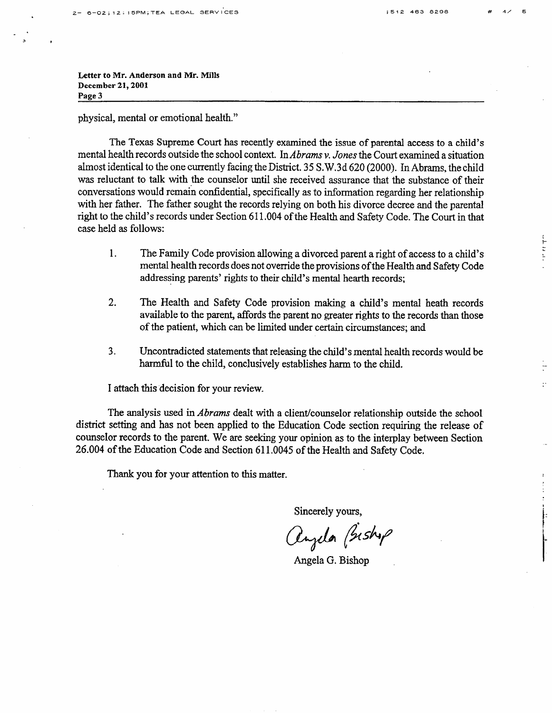.

3 ,

ada da ata

 $\mathbb{R}^+$ 

**Letter to Mr. Anderson and Mr. Mills December 21,200X Page 3** 

physical, mental or emotional health."

The Texas Supreme Court has recently examined the issue of parental access to a child's mental health records outside the school context. In *Abrams v. Jones* the Court examined a situation almost identical to the one currently facing the District. 3 5 S. W. 3 d 620 (2000). In Abrams, the child was reluctant to talk with the counselor until she received assurance that the substance of their conversations would remain confidential, specifically as to information regarding her relationship with her father. The father sought the records relying on both his divorce decree and the parental right to the child's records under Section 6 11.004 of the Health and Safety Code. The Court in that case held as follows:

- 1. The Family Code provision allowing a divorced parent a right of access to a child's mental health records does not override the provisions of the Health and Safety Code addressing parents' rights to their child's mental hearth records;
- 2. The Health and Safety Code provision making a child's mental heath records available to the parent, affords the parent no greater rights to the records than those of the patient, which can be limited under certain circumstances; and
- 3. Uncontradicted statements that releasing the child's mental health records would be harmful to the child, conclusively establishes harm to the child.

I attach this decision for your review.

The analysis used *in Abrams* dealt with a client/counselor relationship outside the school district setting and has not been applied to the Education Code section requiring the release of counselor records to the parent. We are seeking your opinion as to the interplay between Section 26.004 of the Education Code and Section 611 .OO45 of the Health and Safety Code.

Thank you for your attention to this matter.

Sincerely yours,

angela Bishop

Angela G. Bishop